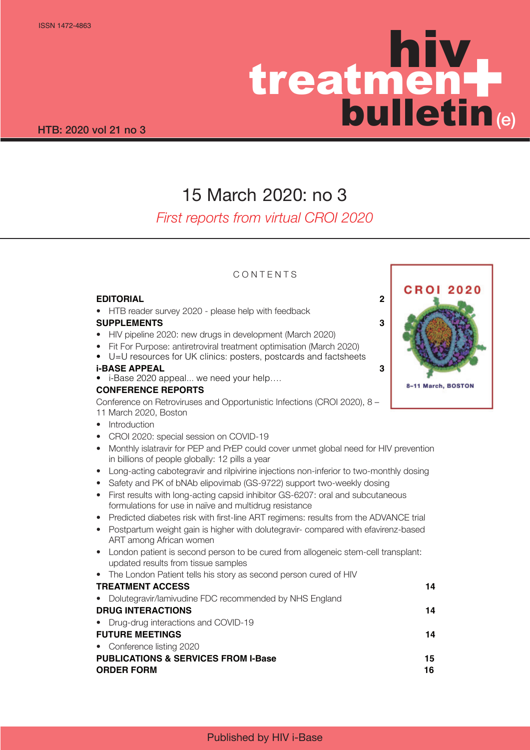# hiv treatmen bulletin  $\frac{1}{2}$ (e)

## 15 March 2020: no 3

## *First reports from virtual CROI 2020*

## **CONTENTS**

### **EDITORIAL 2**

• HTB reader survey 2020 - please help with feedback

## **SUPPLEMENTS 3**

- HIV pipeline 2020: new drugs in development (March 2020)
- Fit For Purpose: antiretroviral treatment optimisation (March 2020)
- U=U resources for UK clinics: posters, postcards and factsheets

### **i-BASE APPEAL 3**

• i-Base 2020 appeal... we need your help….

## **CONFERENCE REPORTS**

Conference on Retroviruses and Opportunistic Infections (CROI 2020), 8 – 11 March 2020, Boston

- Introduction
- CROI 2020: special session on COVID-19
- Monthly islatravir for PEP and PrEP could cover unmet global need for HIV prevention in billions of people globally: 12 pills a year
- Long-acting cabotegravir and rilpivirine injections non-inferior to two-monthly dosing
- Safety and PK of bNAb elipovimab (GS-9722) support two-weekly dosing
- First results with long-acting capsid inhibitor GS-6207: oral and subcutaneous formulations for use in naïve and multidrug resistance
- Predicted diabetes risk with first-line ART regimens: results from the ADVANCE trial
- Postpartum weight gain is higher with dolutegravir- compared with efavirenz-based ART among African women
- London patient is second person to be cured from allogeneic stem-cell transplant: updated results from tissue samples
- The London Patient tells his story as second person cured of HIV

## **TREATMENT ACCESS** 14

• Dolutegravir/lamivudine FDC recommended by NHS England **DRUG INTERACTIONS** 14 • Drug-drug interactions and COVID-19 **FUTURE MEETINGS** 14 • Conference listing 2020 **PUBLICATIONS & SERVICES FROM I-Base 15 ORDER FORM 16** 16

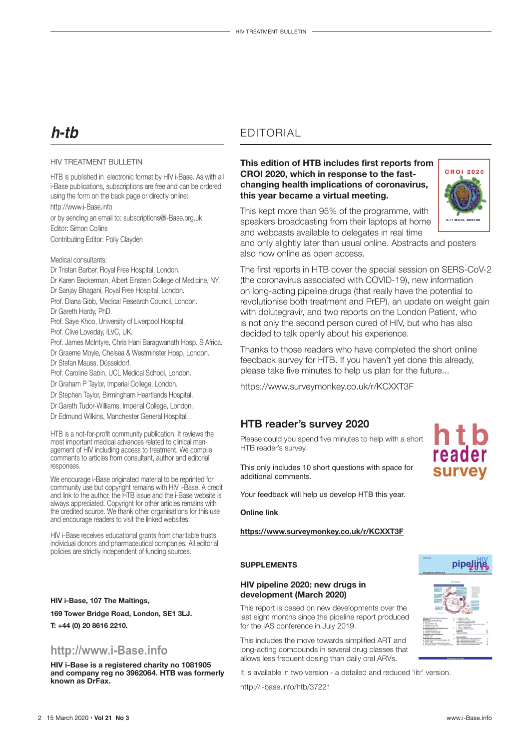## **h-tb**

#### HIV TREATMENT BULLETIN

HTB is published in electronic format by HIV i-Base. As with all i-Base publications, subscriptions are free and can be ordered using the form on the back page or directly online: http://www.i-Base.info or by sending an email to: subscriptions@i-Base.org.uk Editor: Simon Collins Contributing Editor: Polly Clayden

Medical consultants:

- Dr Tristan Barber, Royal Free Hospital, London. Dr Karen Beckerman, Albert Einstein College of Medicine, NY. Dr Sanjay Bhagani, Royal Free Hospital, London. Prof. Diana Gibb, Medical Research Council, London. Dr Gareth Hardy, PhD.
- Prof. Saye Khoo, University of Liverpool Hospital. Prof. Clive Loveday, ILVC, UK.
- Prof. James McIntyre, Chris Hani Baragwanath Hosp. S Africa. Dr Graeme Moyle, Chelsea & Westminster Hosp, London.
- Dr Stefan Mauss, Düsseldorf.
- Prof. Caroline Sabin, UCL Medical School, London.
- Dr Graham P Taylor, Imperial College, London.
- Dr Stephen Taylor, Birmingham Heartlands Hospital.
- Dr Gareth Tudor-Williams, Imperial College, London.
- Dr Edmund Wilkins, Manchester General Hospital..

HTB is a not-for-profit community publication. It reviews the most important medical advances related to clinical management of HIV including access to treatment. We compile comments to articles from consultant, author and editorial responses.

We encourage i-Base originated material to be reprinted for community use but copyright remains with HIV i-Base. A credit and link to the author, the HTB issue and the i-Base website is always appreciated. Copyright for other articles remains with the credited source. We thank other organisations for this use and encourage readers to visit the linked websites.

HIV i-Base receives educational grants from charitable trusts, individual donors and pharmaceutical companies. All editorial policies are strictly independent of funding sources.

#### **HIV i-Base, 107 The Maltings,**

**169 Tower Bridge Road, London, SE1 3LJ.** 

**T: +44 (0) 20 8616 2210.**

## **http://www.i-Base.info**

**HIV i-Base is a registered charity no 1081905 and company reg no 3962064. HTB was formerly known as DrFax.**

## EDITORIAL

### **This edition of HTB includes first reports from CROI 2020, which in response to the fastchanging health implications of coronavirus, this year became a virtual meeting.**

**CROI 2020** 

This kept more than 95% of the programme, with speakers broadcasting from their laptops at home and webcasts available to delegates in real time

and only slightly later than usual online. Abstracts and posters also now online as open access.

The first reports in HTB cover the special session on SERS-CoV-2 (the coronavirus associated with COVID-19), new information on long-acting pipeline drugs (that really have the potential to revolutionise both treatment and PrEP), an update on weight gain with dolutegravir, and two reports on the London Patient, who is not only the second person cured of HIV, but who has also decided to talk openly about his experience.

Thanks to those readers who have completed the short online feedback survey for HTB. If you haven't yet done this already, please take five minutes to help us plan for the future...

https://www.surveymonkey.co.uk/r/KCXXT3F

## **HTB reader's survey 2020**

Please could you spend five minutes to help with a short HTB reader's survey.

This only includes 10 short questions with space for additional comments.

Your feedback will help us develop HTB this year.

#### **Online link**

#### **https://www.surveymonkey.co.uk/r/KCXXT3F**

#### **SUPPLEMENTS**

#### **HIV pipeline 2020: new drugs in development (March 2020)**

This report is based on new developments over the last eight months since the pipeline report produced for the IAS conference in July 2019.

This includes the move towards simplified ART and long-acting compounds in several drug classes that allows less frequent dosing than daily oral ARVs.

It is available in two version - a detailed and reduced 'litr' version.

http://i-base.info/htb/37221



reader **Survey**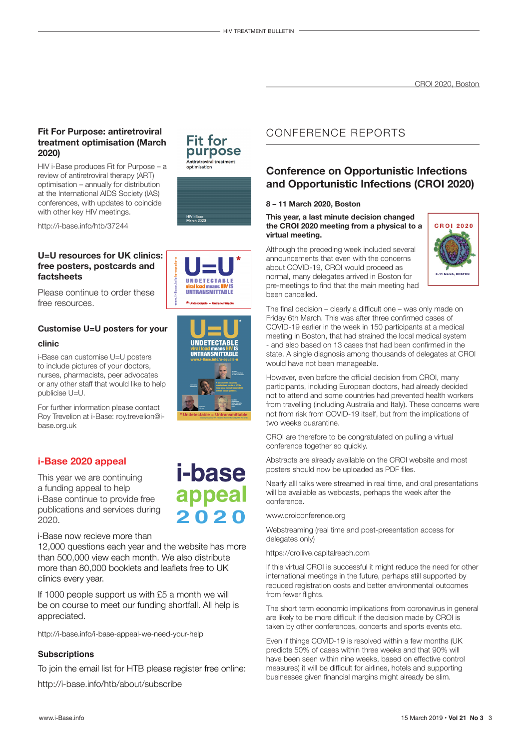### **Fit For Purpose: antiretroviral treatment optimisation (March 2020)**

HIV i-Base produces Fit for Purpose – a review of antiretroviral therapy (ART) optimisation – annually for distribution at the International AIDS Society (IAS) conferences, with updates to coincide with other key HIV meetings.

http://i-base.info/htb/37244

### **U=U resources for UK clinics: free posters, postcards and factsheets**

Please continue to order these free resources.

## **Customise U=U posters for your**

#### **clinic**

i-Base can customise U=U posters to include pictures of your doctors, nurses, pharmacists, peer advocates or any other staff that would like to help publicise U=U.

For further information please contact Roy Trevelion at i-Base: roy.trevelion@ibase.org.uk

## **i-Base 2020 appeal**

This year we are continuing a funding appeal to help i-Base continue to provide free publications and services during 2020.

#### i-Base now recieve more than

12,000 questions each year and the website has more than 500,000 view each month. We also distribute more than 80,000 booklets and leaflets free to UK clinics every year.

If 1000 people support us with £5 a month we will be on course to meet our funding shortfall. All help is appreciated.

http://i-base.info/i-base-appeal-we-need-your-help

#### **Subscriptions**

To join the email list for HTB please register free online:

http://i-base.info/htb/about/subscribe

## **Fit for** purpose Antiretroviral treatment<br>optimisation







*i-base* 

appeal

2020

## CONFERENCE REPORTS

## **Conference on Opportunistic Infections and Opportunistic Infections (CROI 2020)**

#### **8 – 11 March 2020, Boston**

**This year, a last minute decision changed the CROI 2020 meeting from a physical to a virtual meeting.**

Although the preceding week included several announcements that even with the concerns about COVID-19, CROI would proceed as normal, many delegates arrived in Boston for pre-meetings to find that the main meeting had been cancelled.



The final decision – clearly a difficult one – was only made on Friday 6th March. This was after three confirmed cases of COVID-19 earlier in the week in 150 participants at a medical meeting in Boston, that had strained the local medical system - and also based on 13 cases that had been confirmed in the state. A single diagnosis among thousands of delegates at CROI would have not been manageable.

However, even before the official decision from CROI, many participants, including European doctors, had already decided not to attend and some countries had prevented health workers from travelling (including Australia and Italy). These concerns were not from risk from COVID-19 itself, but from the implications of two weeks quarantine.

CROI are therefore to be congratulated on pulling a virtual conference together so quickly.

Abstracts are already available on the CROI website and most posters should now be uploaded as PDF files.

Nearly alll talks were streamed in real time, and oral presentations will be available as webcasts, perhaps the week after the conference.

www.croiconference.org

Webstreaming (real time and post-presentation access for delegates only)

https://croilive.capitalreach.com

If this virtual CROI is successful it might reduce the need for other international meetings in the future, perhaps still supported by reduced registration costs and better environmental outcomes from fewer flights.

The short term economic implications from coronavirus in general are likely to be more difficult if the decision made by CROI is taken by other conferences, concerts and sports events etc.

Even if things COVID-19 is resolved within a few months (UK predicts 50% of cases within three weeks and that 90% will have been seen within nine weeks, based on effective control measures) it will be difficult for airlines, hotels and supporting businesses given financial margins might already be slim.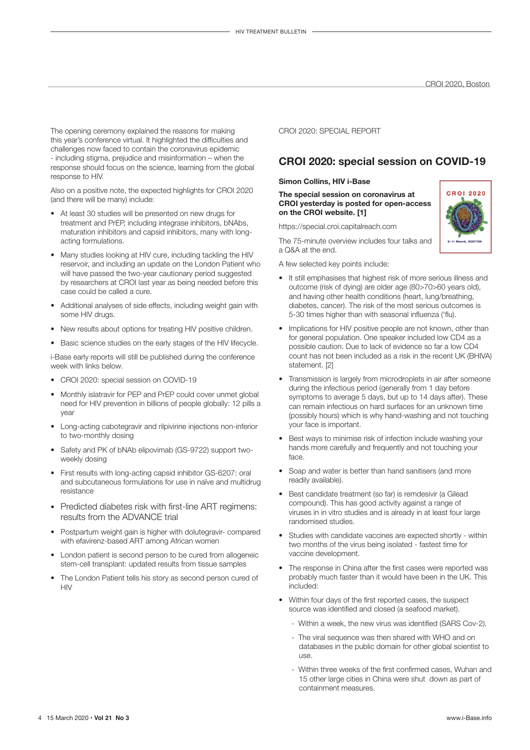The opening ceremony explained the reasons for making this year's conference virtual. It highlighted the difficulties and challenges now faced to contain the coronavirus epidemic - including stigma, prejudice and misinformation – when the response should focus on the science, learning from the global response to HIV.

Also on a positive note, the expected highlights for CROI 2020 (and there will be many) include:

- At least 30 studies will be presented on new drugs for treatment and PrEP, including integrase inhibitors, bNAbs, maturation inhibitors and capsid inhibitors, many with longacting formulations.
- Many studies looking at HIV cure, including tackling the HIV reservoir, and including an update on the London Patient who will have passed the two-year cautionary period suggested by researchers at CROI last year as being needed before this case could be called a cure.
- • Additional analyses of side effects, including weight gain with some HIV drugs.
- New results about options for treating HIV positive children.
- Basic science studies on the early stages of the HIV lifecycle.

i-Base early reports will still be published during the conference week with links below.

- CROI 2020: special session on COVID-19
- Monthly islatravir for PEP and PrEP could cover unmet global need for HIV prevention in billions of people globally: 12 pills a year
- Long-acting cabotegravir and rilpivirine injections non-inferior to two-monthly dosing
- Safety and PK of bNAb elipovimab (GS-9722) support twoweekly dosing
- First results with long-acting capsid inhibitor GS-6207: oral and subcutaneous formulations for use in naïve and multidrug resistance
- Predicted diabetes risk with first-line ART regimens: results from the ADVANCE trial
- Postpartum weight gain is higher with dolutegravir- compared with efavirenz-based ART among African women
- London patient is second person to be cured from allogeneic stem-cell transplant: updated results from tissue samples
- The London Patient tells his story as second person cured of  $H<sub>N</sub>$

CROI 2020: SPECIAL REPORT

## **CROI 2020: special session on COVID-19**

#### **Simon Collins, HIV i-Base**

**The special session on coronavirus at CROI yesterday is posted for open-access on the CROI website. [1]**

https://special.croi.capitalreach.com

The 75-minute overview includes four talks and a Q&A at the end.

A few selected key points include:

- It still emphasises that highest risk of more serious illness and outcome (risk of dying) are older age (80>70>60 years old), and having other health conditions (heart, lung/breathing, diabetes, cancer). The risk of the most serious outcomes is 5-30 times higher than with seasonal influenza ('flu).
- Implications for HIV positive people are not known, other than for general population. One speaker included low CD4 as a possible caution. Due to lack of evidence so far a low CD4 count has not been included as a risk in the recent UK (BHIVA) statement. [2]
- Transmission is largely from microdroplets in air after someone during the infectious period (generally from 1 day before symptoms to average 5 days, but up to 14 days after). These can remain infectious on hard surfaces for an unknown time (possibly hours) which is why hand-washing and not touching your face is important.
- Best ways to minimise risk of infection include washing your hands more carefully and frequently and not touching your face.
- Soap and water is better than hand sanitisers (and more readily available).
- Best candidate treatment (so far) is remdesivir (a Gilead compound). This has good activity against a range of viruses in in vitro studies and is already in at least four large randomised studies.
- Studies with candidate vaccines are expected shortly within two months of the virus being isolated - fastest time for vaccine development.
- The response in China after the first cases were reported was probably much faster than it would have been in the UK. This included:
- Within four days of the first reported cases, the suspect source was identified and closed (a seafood market).
	- Within a week, the new virus was identified (SARS Cov-2).
	- The viral sequence was then shared with WHO and on databases in the public domain for other global scientist to use.
	- Within three weeks of the first confirmed cases, Wuhan and 15 other large cities in China were shut down as part of containment measures.

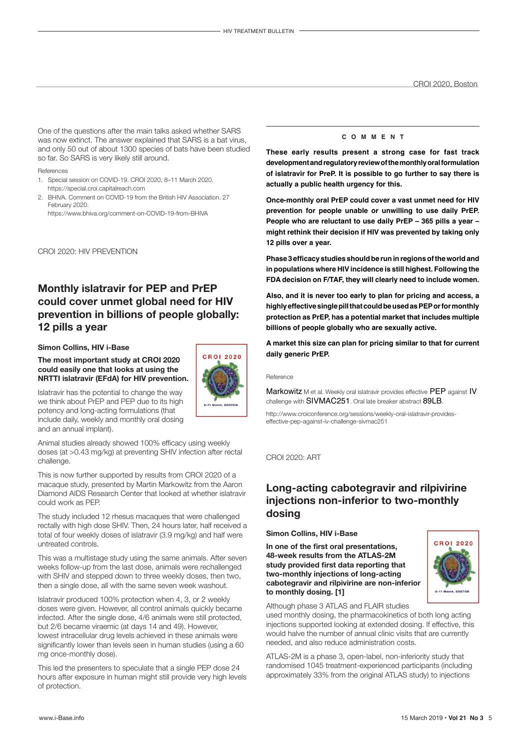One of the questions after the main talks asked whether SARS was now extinct. The answer explained that SARS is a bat virus, and only 50 out of about 1300 species of bats have been studied so far. So SARS is very likely still around.

#### References

- 1. Special session on COVID-19. CROI 2020, 8–11 March 2020. https://special.croi.capitalreach.com
- 2. BHIVA. Comment on COVID-19 from the British HIV Association. 27 February 2020.

https://www.bhiva.org/comment-on-COVID-19-from-BHIVA

CROI 2020: HIV PREVENTION

## **Monthly islatravir for PEP and PrEP could cover unmet global need for HIV prevention in billions of people globally: 12 pills a year**

#### **Simon Collins, HIV i-Base**

**The most important study at CROI 2020 could easily one that looks at using the NRTTI islatravir (EFdA) for HIV prevention.**



Islatravir has the potential to change the way we think about PrEP and PEP due to its high potency and long-acting formulations (that include daily, weekly and monthly oral dosing and an annual implant).

Animal studies already showed 100% efficacy using weekly doses (at >0.43 mg/kg) at preventing SHIV infection after rectal challenge.

This is now further supported by results from CROI 2020 of a macaque study, presented by Martin Markowitz from the Aaron Diamond AIDS Research Center that looked at whether islatravir could work as PEP.

The study included 12 rhesus macaques that were challenged rectally with high dose SHIV. Then, 24 hours later, half received a total of four weekly doses of islatravir (3.9 mg/kg) and half were untreated controls.

This was a multistage study using the same animals. After seven weeks follow-up from the last dose, animals were rechallenged with SHIV and stepped down to three weekly doses, then two, then a single dose, all with the same seven week washout.

Islatravir produced 100% protection when 4, 3, or 2 weekly doses were given. However, all control animals quickly became infected. After the single dose, 4/6 animals were still protected, but 2/6 became viraemic (at days 14 and 49). However, lowest intracellular drug levels achieved in these animals were significantly lower than levels seen in human studies (using a 60 mg once-monthly dose).

This led the presenters to speculate that a single PEP dose 24 hours after exposure in human might still provide very high levels of protection.

#### **c o m m e n t**

**These early results present a strong case for fast track development and regulatory review of the monthly oral formulation of islatravir for PreP. It is possible to go further to say there is actually a public health urgency for this.**

**Once-monthly oral PrEP could cover a vast unmet need for HIV prevention for people unable or unwilling to use daily PrEP. People who are reluctant to use daily PrEP – 365 pills a year – might rethink their decision if HIV was prevented by taking only 12 pills over a year.**

**Phase 3 efficacy studies should be run in regions of the world and in populations where HIV incidence is still highest. Following the FDA decision on F/TAF, they will clearly need to include women.**

**Also, and it is never too early to plan for pricing and access, a highly effective single pill that could be used as PEP or for monthly protection as PrEP, has a potential market that includes multiple billions of people globally who are sexually active.**

**A market this size can plan for pricing similar to that for current daily generic PrEP.**

#### Reference

Markowitz M et al. Weekly oral islatravir provides effective PEP against IV challenge with SIVMAC251. Oral late breaker abstract 89LB.

http://www.croiconference.org/sessions/weekly-oral-islatravir-provideseffective-pep-against-iv-challenge-sivmac251

#### CROI 2020: ART

## **Long-acting cabotegravir and rilpivirine injections non-inferior to two-monthly dosing**

#### **Simon Collins, HIV i-Base**

**In one of the first oral presentations, 48-week results from the ATLAS-2M study provided first data reporting that two-monthly injections of long-acting cabotegravir and rilpivirine are non-inferior to monthly dosing. [1]**



Although phase 3 ATLAS and FLAIR studies

used monthly dosing, the pharmacokinetics of both long acting injections supported looking at extended dosing. If effective, this would halve the number of annual clinic visits that are currently needed, and also reduce administration costs.

ATLAS-2M is a phase 3, open-label, non-inferiority study that randomised 1045 treatment-experienced participants (including approximately 33% from the original ATLAS study) to injections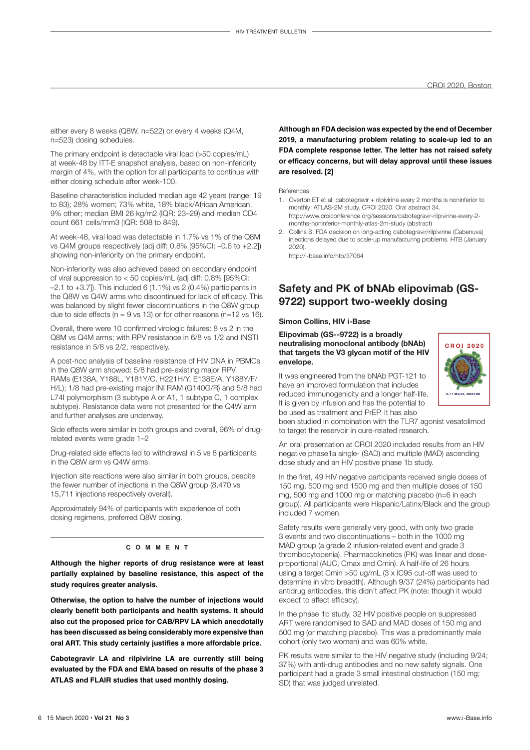either every 8 weeks (Q8W, n=522) or every 4 weeks (Q4M, n=523) dosing schedules.

The primary endpoint is detectable viral load (>50 copies/mL) at week-48 by ITT-E snapshot analysis, based on non-inferiority margin of 4%, with the option for all participants to continue with either dosing schedule after week-100.

Baseline characteristics included median age 42 years (range: 19 to 83); 28% women; 73% white, 18% black/African American, 9% other; median BMI 26 kg/m2 (IQR: 23–29) and median CD4 count 661 cells/mm3 (IQR: 508 to 849).

At week-48, viral load was detectable in 1.7% vs 1% of the Q8M vs Q4M groups respectively (adj diff: 0.8% [95%CI: –0.6 to +2.2]) showing non-inferiority on the primary endpoint.

Non-inferiority was also achieved based on secondary endpoint of viral suppression to < 50 copies/mL (adj diff: 0.8% [95%CI:  $-2.1$  to  $+3.7$ ]). This included 6 (1.1%) vs 2 (0.4%) participants in the Q8W vs Q4W arms who discontinued for lack of efficacy. This was balanced by slight fewer discontinuations in the Q8W group due to side effects ( $n = 9$  vs 13) or for other reasons ( $n=12$  vs 16).

Overall, there were 10 confirmed virologic failures: 8 vs 2 in the Q8M vs Q4M arms; with RPV resistance in 6/8 vs 1/2 and INSTI resistance in 5/8 vs 2/2, respectively.

A post-hoc analysis of baseline resistance of HIV DNA in PBMCs in the Q8W arm showed: 5/8 had pre-existing major RPV RAMs (E138A, Y188L, Y181Y/C, H221H/Y, E138E/A, Y188Y/F/ H/L); 1/8 had pre-existing major INI RAM (G140G/R) and 5/8 had L74I polymorphism (3 subtype A or A1, 1 subtype C, 1 complex subtype). Resistance data were not presented for the Q4W arm and further analyses are underway.

Side effects were similar in both groups and overall, 96% of drugrelated events were grade 1–2

Drug-related side effects led to withdrawal in 5 vs 8 participants in the Q8W arm vs Q4W arms.

Injection site reactions were also similar in both groups, despite the fewer number of injections in the Q8W group (8,470 vs 15,711 injections respectively overall).

Approximately 94% of participants with experience of both dosing regimens, preferred Q8W dosing.

#### **c o m m e n t**

**Although the higher reports of drug resistance were at least partially explained by baseline resistance, this aspect of the study requires greater analysis.**

**Otherwise, the option to halve the number of injections would clearly benefit both participants and health systems. It should also cut the proposed price for CAB/RPV LA which anecdotally has been discussed as being considerably more expensive than oral ART. This study certainly justifies a more affordable price.**

**Cabotegravir LA and rilpivirine LA are currently still being evaluated by the FDA and EMA based on results of the phase 3 ATLAS and FLAIR studies that used monthly dosing.**

**Although an FDA decision was expected by the end of December 2019, a manufacturing problem relating to scale-up led to an FDA complete response letter. The letter has not raised safety or efficacy concerns, but will delay approval until these issues are resolved. [2]**

References

- 1. Overton ET et al. cabotegravir + rilpivirine every 2 months is noninferior to monthly: ATLAS-2M study. CROI 2020. Oral abstract 34. http://www.croiconference.org/sessions/cabotegravir-rilpivirine-every-2 months-noninferior-monthly-atlas-2m-study (abstract)
- 2. Collins S. FDA decision on long-acting cabotegravir/rilpivirine (Cabenuva) injections delayed due to scale-up manufacturing problems. HTB (January 2020).

http://i-base.info/htb/37064

## **Safety and PK of bNAb elipovimab (GS-9722) support two-weekly dosing**

#### **Simon Collins, HIV i-Base**

**Elipovimab (GS--9722) is a broadly neutralising monoclonal antibody (bNAb) that targets the V3 glycan motif of the HIV envelope.**

It was engineered from the bNAb PGT-121 to have an improved formulation that includes reduced immunogenicity and a longer half-life. It is given by infusion and has the potential to be used as treatment and PrEP. It has also



An oral presentation at CROI 2020 included results from an HIV negative phase1a single- (SAD) and multiple (MAD) ascending dose study and an HIV positive phase 1b study.

In the first, 49 HIV negative participants received single doses of 150 mg, 500 mg and 1500 mg and then multiple doses of 150 mg, 500 mg and 1000 mg or matching placebo (n=6 in each group). All participants were Hispanic/Latinx/Black and the group included 7 women.

Safety results were generally very good, with only two grade 3 events and two discontinuations – both in the 1000 mg MAD group (a grade 2 infusion-related event and grade 3 thrombocytopenia). Pharmacokinetics (PK) was linear and doseproportional (AUC, Cmax and Cmin). A half-life of 26 hours using a target Cmin >50 ug/mL (3 x IC95 cut-off was used to determine in vitro breadth). Although 9/37 (24%) participants had antidrug antibodies, this didn't affect PK (note: though it would expect to affect efficacy).

In the phase 1b study, 32 HIV positive people on suppressed ART were randomised to SAD and MAD doses of 150 mg and 500 mg (or matching placebo). This was a predominantly male cohort (only two women) and was 60% white.

PK results were similar to the HIV negative study (including 9/24; 37%) with anti-drug antibodies and no new safety signals. One participant had a grade 3 small intestinal obstruction (150 mg; SD) that was judged unrelated.

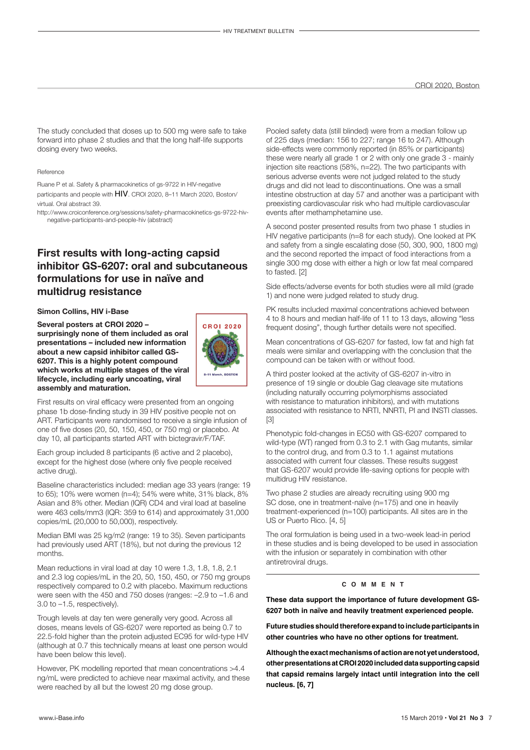The study concluded that doses up to 500 mg were safe to take forward into phase 2 studies and that the long half-life supports dosing every two weeks.

#### Reference

Ruane P et al. Safety & pharmacokinetics of gs-9722 in HIV-negative participants and people with HIV. CROI 2020, 8–11 March 2020, Boston/ virtual. Oral abstract 39.

http://www.croiconference.org/sessions/safety-pharmacokinetics-gs-9722-hivnegative-participants-and-people-hiv (abstract)

## **First results with long-acting capsid inhibitor GS-6207: oral and subcutaneous formulations for use in naïve and multidrug resistance**

#### **Simon Collins, HIV i-Base**

**Several posters at CROI 2020 – surprisingly none of them included as oral presentations – included new information about a new capsid inhibitor called GS-6207. This is a highly potent compound which works at multiple stages of the viral lifecycle, including early uncoating, viral assembly and maturation.**



First results on viral efficacy were presented from an ongoing phase 1b dose-finding study in 39 HIV positive people not on ART. Participants were randomised to receive a single infusion of one of five doses (20, 50, 150, 450, or 750 mg) or placebo. At day 10, all participants started ART with bictegravir/F/TAF.

Each group included 8 participants (6 active and 2 placebo), except for the highest dose (where only five people received active drug).

Baseline characteristics included: median age 33 years (range: 19 to 65); 10% were women (n=4); 54% were white, 31% black, 8% Asian and 8% other. Median (IQR) CD4 and viral load at baseline were 463 cells/mm3 (IQR: 359 to 614) and approximately 31,000 copies/mL (20,000 to 50,000), respectively.

Median BMI was 25 kg/m2 (range: 19 to 35). Seven participants had previously used ART (18%), but not during the previous 12 months.

Mean reductions in viral load at day 10 were 1.3, 1.8, 1.8, 2.1 and 2.3 log copies/mL in the 20, 50, 150, 450, or 750 mg groups respectively compared to 0.2 with placebo. Maximum reductions were seen with the 450 and 750 doses (ranges: –2.9 to –1.6 and 3.0 to –1.5, respectively).

Trough levels at day ten were generally very good. Across all doses, means levels of GS-6207 were reported as being 0.7 to 22.5-fold higher than the protein adjusted EC95 for wild-type HIV (although at 0.7 this technically means at least one person would have been below this level).

However, PK modelling reported that mean concentrations >4.4 ng/mL were predicted to achieve near maximal activity, and these were reached by all but the lowest 20 mg dose group.

Pooled safety data (still blinded) were from a median follow up of 225 days (median: 156 to 227; range 16 to 247). Although side-effects were commonly reported (in 85% or participants) these were nearly all grade 1 or 2 with only one grade 3 - mainly injection site reactions (58%, n=22). The two participants with serious adverse events were not judged related to the study drugs and did not lead to discontinuations. One was a small intestine obstruction at day 57 and another was a participant with preexisting cardiovascular risk who had multiple cardiovascular events after methamphetamine use.

A second poster presented results from two phase 1 studies in HIV negative participants (n=8 for each study). One looked at PK and safety from a single escalating dose (50, 300, 900, 1800 mg) and the second reported the impact of food interactions from a single 300 mg dose with either a high or low fat meal compared to fasted. [2]

Side effects/adverse events for both studies were all mild (grade 1) and none were judged related to study drug.

PK results included maximal concentrations achieved between 4 to 8 hours and median half-life of 11 to 13 days, allowing "less frequent dosing", though further details were not specified.

Mean concentrations of GS-6207 for fasted, low fat and high fat meals were similar and overlapping with the conclusion that the compound can be taken with or without food.

A third poster looked at the activity of GS-6207 in-vitro in presence of 19 single or double Gag cleavage site mutations (including naturally occurring polymorphisms associated with resistance to maturation inhibitors), and with mutations associated with resistance to NRTI, NNRTI, PI and INSTI classes. [3]

Phenotypic fold-changes in EC50 with GS-6207 compared to wild-type (WT) ranged from 0.3 to 2.1 with Gag mutants, similar to the control drug, and from 0.3 to 1.1 against mutations associated with current four classes. These results suggest that GS-6207 would provide life-saving options for people with multidrug HIV resistance.

Two phase 2 studies are already recruiting using 900 mg SC dose, one in treatment-naïve (n=175) and one in heavily treatment-experienced (n=100) participants. All sites are in the US or Puerto Rico. [4, 5]

The oral formulation is being used in a two-week lead-in period in these studies and is being developed to be used in association with the infusion or separately in combination with other antiretroviral drugs.

#### **c o m m e n t**

**These data support the importance of future development GS-6207 both in naïve and heavily treatment experienced people.** 

**Future studies should therefore expand to include participants in other countries who have no other options for treatment.**

**Although the exact mechanisms of action are not yet understood, other presentations at CROI 2020 included data supporting capsid that capsid remains largely intact until integration into the cell nucleus. [6, 7]**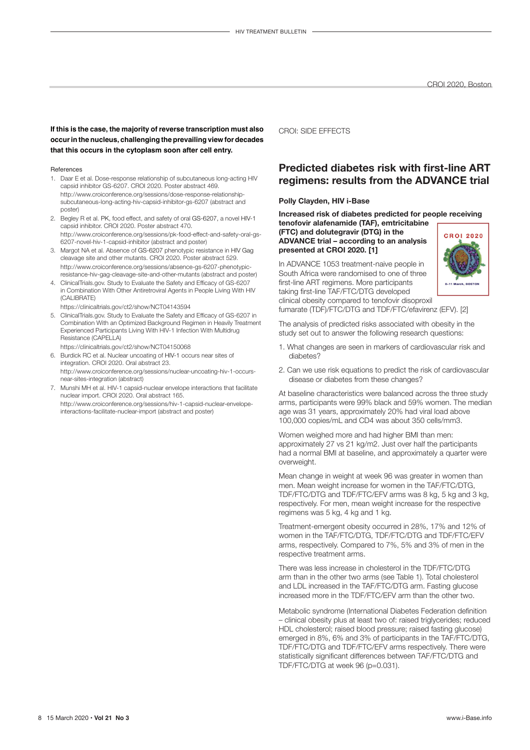#### **If this is the case, the majority of reverse transcription must also occur in the nucleus, challenging the prevailing view for decades that this occurs in the cytoplasm soon after cell entry.**

#### References

- 1. Daar E et al. Dose-response relationship of subcutaneous long-acting HIV capsid inhibitor GS-6207. CROI 2020. Poster abstract 469. http://www.croiconference.org/sessions/dose-response-relationshipsubcutaneous-long-acting-hiv-capsid-inhibitor-gs-6207 (abstract and poster)
- 2. Begley R et al. PK, food effect, and safety of oral GS-6207, a novel HIV-1 capsid inhibitor. CROI 2020. Poster abstract 470. http://www.croiconference.org/sessions/pk-food-effect-and-safety-oral-gs-6207-novel-hiv-1-capsid-inhibitor (abstract and poster)
- 3. Margot NA et al. Absence of GS-6207 phenotypic resistance in HIV Gag cleavage site and other mutants. CROI 2020. Poster abstract 529. http://www.croiconference.org/sessions/absence-gs-6207-phenotypicresistance-hiv-gag-cleavage-site-and-other-mutants (abstract and poster)
- 4. ClinicalTrials.gov. Study to Evaluate the Safety and Efficacy of GS-6207 in Combination With Other Antiretroviral Agents in People Living With HIV (CALIBRATE)

https://clinicaltrials.gov/ct2/show/NCT04143594

5. ClinicalTrials.gov. Study to Evaluate the Safety and Efficacy of GS-6207 in Combination With an Optimized Background Regimen in Heavily Treatment Experienced Participants Living With HIV-1 Infection With Multidrug Resistance (CAPELLA)

https://clinicaltrials.gov/ct2/show/NCT04150068

- 6. Burdick RC et al. Nuclear uncoating of HIV-1 occurs near sites of integration. CROI 2020. Oral abstract 23. http://www.croiconference.org/sessions/nuclear-uncoating-hiv-1-occurs-
- near-sites-integration (abstract) 7. Munshi MH et al. HIV-1 capsid-nuclear envelope interactions that facilitate
- nuclear import. CROI 2020. Oral abstract 165. http://www.croiconference.org/sessions/hiv-1-capsid-nuclear-envelopeinteractions-facilitate-nuclear-import (abstract and poster)

#### CROI: SIDE EFFECTS

## **Predicted diabetes risk with first-line ART regimens: results from the ADVANCE trial**

#### **Polly Clayden, HIV i-Base**

**Increased risk of diabetes predicted for people receiving** 

**tenofovir alafenamide (TAF), emtricitabine (FTC) and dolutegravir (DTG) in the ADVANCE trial – according to an analysis presented at CROI 2020. [1]**

In ADVANCE 1053 treatment-naive people in South Africa were randomised to one of three first-line ART regimens. More participants taking first-line TAF/FTC/DTG developed clinical obesity compared to tenofovir disoproxil



fumarate (TDF)/FTC/DTG and TDF/FTC/efavirenz (EFV). [2]

The analysis of predicted risks associated with obesity in the study set out to answer the following research questions:

- 1. What changes are seen in markers of cardiovascular risk and diahetes?
- 2. Can we use risk equations to predict the risk of cardiovascular disease or diabetes from these changes?

At baseline characteristics were balanced across the three study arms, participants were 99% black and 59% women. The median age was 31 years, approximately 20% had viral load above 100,000 copies/mL and CD4 was about 350 cells/mm3.

Women weighed more and had higher BMI than men: approximately 27 vs 21 kg/m2. Just over half the participants had a normal BMI at baseline, and approximately a quarter were overweight.

Mean change in weight at week 96 was greater in women than men. Mean weight increase for women in the TAF/FTC/DTG, TDF/FTC/DTG and TDF/FTC/EFV arms was 8 kg, 5 kg and 3 kg, respectively. For men, mean weight increase for the respective regimens was 5 kg, 4 kg and 1 kg.

Treatment-emergent obesity occurred in 28%, 17% and 12% of women in the TAF/FTC/DTG, TDF/FTC/DTG and TDF/FTC/EFV arms, respectively. Compared to 7%, 5% and 3% of men in the respective treatment arms.

There was less increase in cholesterol in the TDF/FTC/DTG arm than in the other two arms (see Table 1). Total cholesterol and LDL increased in the TAF/FTC/DTG arm. Fasting glucose increased more in the TDF/FTC/EFV arm than the other two.

Metabolic syndrome (International Diabetes Federation definition – clinical obesity plus at least two of: raised triglycerides; reduced HDL cholesterol; raised blood pressure; raised fasting glucose) emerged in 8%, 6% and 3% of participants in the TAF/FTC/DTG, TDF/FTC/DTG and TDF/FTC/EFV arms respectively. There were statistically significant differences between TAF/FTC/DTG and TDF/FTC/DTG at week 96 (p=0.031).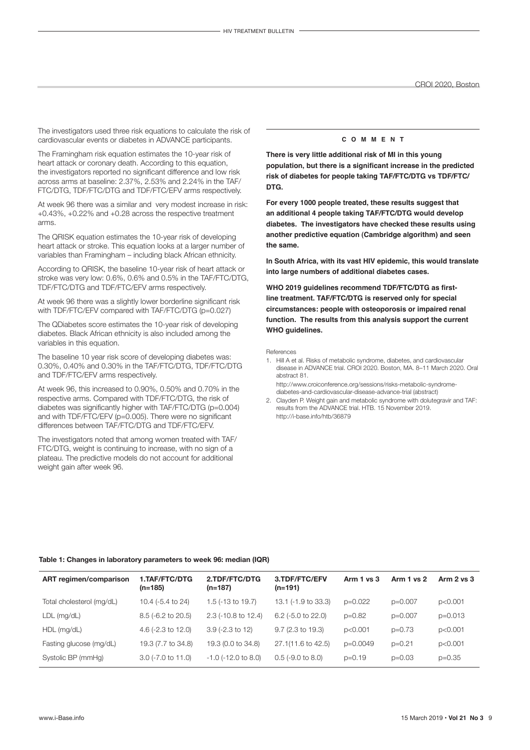The investigators used three risk equations to calculate the risk of cardiovascular events or diabetes in ADVANCE participants.

The Framingham risk equation estimates the 10-year risk of heart attack or coronary death. According to this equation, the investigators reported no significant difference and low risk across arms at baseline: 2.37%, 2.53% and 2.24% in the TAF/ FTC/DTG, TDF/FTC/DTG and TDF/FTC/EFV arms respectively.

At week 96 there was a similar and very modest increase in risk: +0.43%, +0.22% and +0.28 across the respective treatment arms.

The QRISK equation estimates the 10-year risk of developing heart attack or stroke. This equation looks at a larger number of variables than Framingham – including black African ethnicity.

According to QRISK, the baseline 10-year risk of heart attack or stroke was very low: 0.6%, 0.6% and 0.5% in the TAF/FTC/DTG, TDF/FTC/DTG and TDF/FTC/EFV arms respectively.

At week 96 there was a slightly lower borderline significant risk with TDF/FTC/EFV compared with TAF/FTC/DTG (p=0.027)

The QDiabetes score estimates the 10-year risk of developing diabetes. Black African ethnicity is also included among the variables in this equation.

The baseline 10 year risk score of developing diabetes was: 0.30%, 0.40% and 0.30% in the TAF/FTC/DTG, TDF/FTC/DTG and TDF/FTC/EFV arms respectively.

At week 96, this increased to 0.90%, 0.50% and 0.70% in the respective arms. Compared with TDF/FTC/DTG, the risk of diabetes was significantly higher with TAF/FTC/DTG (p=0.004) and with TDF/FTC/EFV (p=0.005). There were no significant differences between TAF/FTC/DTG and TDF/FTC/EFV.

The investigators noted that among women treated with TAF/ FTC/DTG, weight is continuing to increase, with no sign of a plateau. The predictive models do not account for additional weight gain after week 96.

#### **c o m m e n t**

**There is very little additional risk of MI in this young population, but there is a significant increase in the predicted risk of diabetes for people taking TAF/FTC/DTG vs TDF/FTC/ DTG.**

**For every 1000 people treated, these results suggest that an additional 4 people taking TAF/FTC/DTG would develop diabetes. The investigators have checked these results using another predictive equation (Cambridge algorithm) and seen the same.**

**In South Africa, with its vast HIV epidemic, this would translate into large numbers of additional diabetes cases.** 

**WHO 2019 guidelines recommend TDF/FTC/DTG as firstline treatment. TAF/FTC/DTG is reserved only for special circumstances: people with osteoporosis or impaired renal function. The results from this analysis support the current WHO guidelines.**

References

1. Hill A et al. Risks of metabolic syndrome, diabetes, and cardiovascular disease in ADVANCE trial. CROI 2020. Boston, MA. 8–11 March 2020. Oral abstract 81. http://www.croiconference.org/sessions/risks-metabolic-syndrome-

diabetes-and-cardiovascular-disease-advance-trial (abstract) 2. Clayden P. Weight gain and metabolic syndrome with dolutegravir and TAF: results from the ADVANCE trial. HTB. 15 November 2019. <http://i-base.info/htb/36879>

#### **Table 1: Changes in laboratory parameters to week 96: median (IQR)**

| ART regimen/comparison    | 1.TAF/FTC/DTG<br>$(n=185)$ | 2.TDF/FTC/DTG<br>$(n=187)$ | 3.TDF/FTC/EFV<br>$(n=191)$  | Arm $1$ vs $3$ | Arm 1 vs 2 | Arm $2$ vs $3$ |
|---------------------------|----------------------------|----------------------------|-----------------------------|----------------|------------|----------------|
| Total cholesterol (mg/dL) | 10.4 (-5.4 to 24)          | 1.5 (-13 to 19.7)          | 13.1 (-1.9 to 33.3)         | $p=0.022$      | $p=0.007$  | p<0.001        |
| $LDL$ (mg/dL)             | $8.5$ (-6.2 to 20.5)       | $2.3$ (-10.8 to 12.4)      | 6.2 (-5.0 to 22.0)          | $p=0.82$       | $p=0.007$  | $p=0.013$      |
| $HDL$ (mg/dL)             | 4.6 ( $-2.3$ to 12.0)      | $3.9$ (-2.3 to 12)         | $9.7(2.3 \text{ to } 19.3)$ | p<0.001        | $p=0.73$   | p<0.001        |
| Fasting glucose (mg/dL)   | 19.3 (7.7 to 34.8)         | 19.3 (0.0 to 34.8)         | 27.1(11.6 to 42.5)          | $p=0.0049$     | $p=0.21$   | p<0.001        |
| Systolic BP (mmHg)        | $3.0$ (-7.0 to 11.0)       | $-1.0$ ( $-12.0$ to 8.0)   | $0.5$ (-9.0 to 8.0)         | $p=0.19$       | $p=0.03$   | $p=0.35$       |
|                           |                            |                            |                             |                |            |                |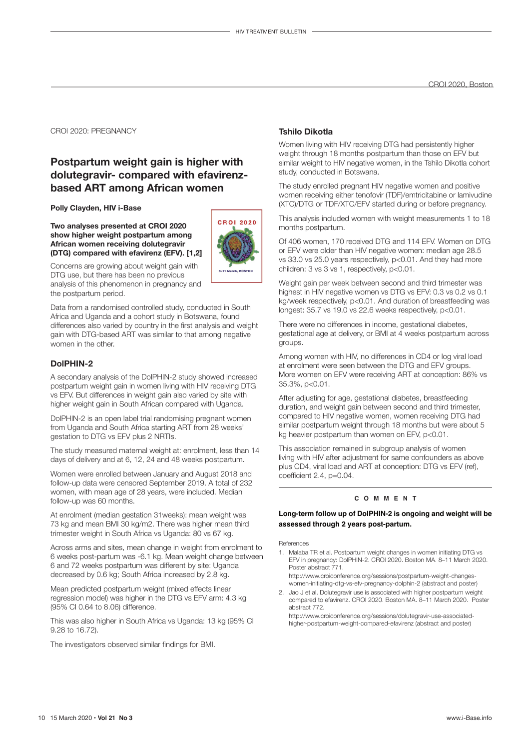#### CROI 2020: PREGNANCY

## **Postpartum weight gain is higher with dolutegravir- compared with efavirenzbased ART among African women**

**Polly Clayden, HIV i-Base**

**Two analyses presented at CROI 2020 show higher weight postpartum among African women receiving dolutegravir (DTG) compared with efavirenz (EFV). [1,2]** 



Concerns are growing about weight gain with DTG use, but there has been no previous analysis of this phenomenon in pregnancy and the postpartum period.

Data from a randomised controlled study, conducted in South Africa and Uganda and a cohort study in Botswana, found differences also varied by country in the first analysis and weight gain with DTG-based ART was similar to that among negative women in the other.

#### **DolPHIN-2**

A secondary analysis of the DolPHIN-2 study showed increased postpartum weight gain in women living with HIV receiving DTG vs EFV. But differences in weight gain also varied by site with higher weight gain in South African compared with Uganda.

DolPHIN-2 is an open label trial randomising pregnant women from Uganda and South Africa starting ART from 28 weeks' gestation to DTG vs EFV plus 2 NRTIs.

The study measured maternal weight at: enrolment, less than 14 days of delivery and at 6, 12, 24 and 48 weeks postpartum.

Women were enrolled between January and August 2018 and follow-up data were censored September 2019. A total of 232 women, with mean age of 28 years, were included. Median follow-up was 60 months.

At enrolment (median gestation 31weeks): mean weight was 73 kg and mean BMI 30 kg/m2. There was higher mean third trimester weight in South Africa vs Uganda: 80 vs 67 kg.

Across arms and sites, mean change in weight from enrolment to 6 weeks post-partum was -6.1 kg. Mean weight change between 6 and 72 weeks postpartum was different by site: Uganda decreased by 0.6 kg; South Africa increased by 2.8 kg.

Mean predicted postpartum weight (mixed effects linear regression model) was higher in the DTG vs EFV arm: 4.3 kg (95% CI 0.64 to 8.06) difference.

This was also higher in South Africa vs Uganda: 13 kg (95% CI 9.28 to 16.72).

The investigators observed similar findings for BMI.

#### **Tshilo Dikotla**

Women living with HIV receiving DTG had persistently higher weight through 18 months postpartum than those on EFV but similar weight to HIV negative women, in the Tshilo Dikotla cohort study, conducted in Botswana.

The study enrolled pregnant HIV negative women and positive women receiving either tenofovir (TDF)/emtricitabine or lamivudine (XTC)/DTG or TDF/XTC/EFV started during or before pregnancy.

This analysis included women with weight measurements 1 to 18 months postpartum.

Of 406 women, 170 received DTG and 114 EFV. Women on DTG or EFV were older than HIV negative women: median age 28.5 vs 33.0 vs 25.0 years respectively, p<0.01. And they had more children: 3 vs 3 vs 1, respectively, p<0.01.

Weight gain per week between second and third trimester was highest in HIV negative women vs DTG vs EFV: 0.3 vs 0.2 vs 0.1 kg/week respectively, p<0.01. And duration of breastfeeding was longest: 35.7 vs 19.0 vs 22.6 weeks respectively, p<0.01.

There were no differences in income, gestational diabetes, gestational age at delivery, or BMI at 4 weeks postpartum across groups.

Among women with HIV, no differences in CD4 or log viral load at enrolment were seen between the DTG and EFV groups. More women on EFV were receiving ART at conception: 86% vs 35.3%, p<0.01.

After adjusting for age, gestational diabetes, breastfeeding duration, and weight gain between second and third trimester, compared to HIV negative women, women receiving DTG had similar postpartum weight through 18 months but were about 5 kg heavier postpartum than women on EFV, p<0.01.

This association remained in subgroup analysis of women living with HIV after adjustment for same confounders as above plus CD4, viral load and ART at conception: DTG vs EFV (ref), coefficient 2.4, p=0.04.

#### **c o m m e n t**

#### **Long-term follow up of DolPHIN-2 is ongoing and weight will be assessed through 2 years post-partum.**

References

1. Malaba TR et al. Postpartum weight changes in women initiating DTG vs EFV in pregnancy: DolPHIN-2. CROI 2020. Boston MA. 8–11 March 2020. Poster abstract 771.

http://www.croiconference.org/sessions/postpartum-weight-changeswomen-initiating-dtg-vs-efv-pregnancy-dolphin-2 (abstract and poster)

2. Jao J et al. Dolutegravir use is associated with higher postpartum weight compared to efavirenz. CROI 2020. Boston MA. 8–11 March 2020. Poster abstract 772.

http://www.croiconference.org/sessions/dolutegravir-use-associatedhigher-postpartum-weight-compared-efavirenz (abstract and poster)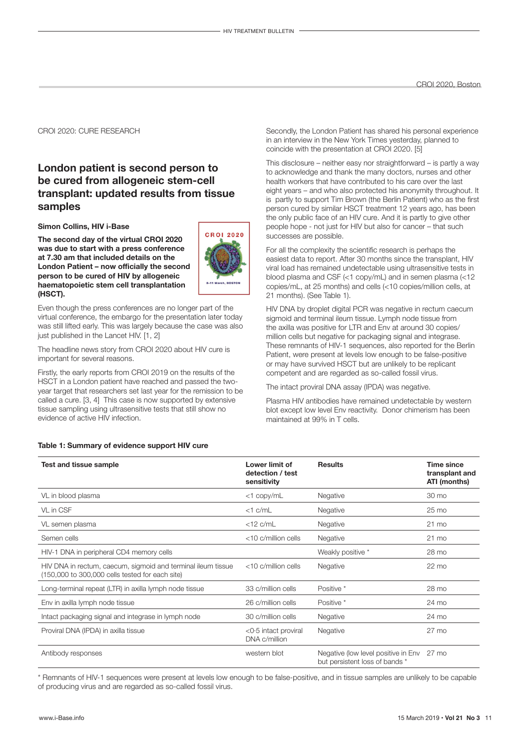#### CROI 2020: CURE RESEARCH

## **London patient is second person to be cured from allogeneic stem-cell transplant: updated results from tissue samples**

#### **Simon Collins, HIV i-Base**

**The second day of the virtual CROI 2020 was due to start with a press conference at 7.30 am that included details on the London Patient – now officially the second person to be cured of HIV by allogeneic haematopoietic stem cell transplantation (HSCT).** 

Even though the press conferences are no longer part of the virtual conference, the embargo for the presentation later today was still lifted early. This was largely because the case was also just published in the Lancet HIV. [1, 2]

The headline news story from CROI 2020 about HIV cure is important for several reasons.

Firstly, the early reports from CROI 2019 on the results of the HSCT in a London patient have reached and passed the twoyear target that researchers set last year for the remission to be called a cure. [3, 4] This case is now supported by extensive tissue sampling using ultrasensitive tests that still show no evidence of active HIV infection.

Secondly, the London Patient has shared his personal experience in an interview in the New York Times yesterday, planned to coincide with the presentation at CROI 2020. [5]

This disclosure – neither easy nor straightforward – is partly a way to acknowledge and thank the many doctors, nurses and other health workers that have contributed to his care over the last eight years – and who also protected his anonymity throughout. It is partly to support Tim Brown (the Berlin Patient) who as the first person cured by similar HSCT treatment 12 years ago, has been the only public face of an HIV cure. And it is partly to give other people hope - not just for HIV but also for cancer – that such successes are possible.

For all the complexity the scientific research is perhaps the easiest data to report. After 30 months since the transplant, HIV viral load has remained undetectable using ultrasensitive tests in blood plasma and CSF (<1 copy/mL) and in semen plasma (<12 copies/mL, at 25 months) and cells (<10 copies/million cells, at 21 months). (See Table 1).

HIV DNA by droplet digital PCR was negative in rectum caecum sigmoid and terminal ileum tissue. Lymph node tissue from the axilla was positive for LTR and Env at around 30 copies/ million cells but negative for packaging signal and integrase. These remnants of HIV-1 sequences, also reported for the Berlin Patient, were present at levels low enough to be false-positive or may have survived HSCT but are unlikely to be replicant competent and are regarded as so-called fossil virus.

The intact proviral DNA assay (IPDA) was negative.

Plasma HIV antibodies have remained undetectable by western blot except low level Env reactivity. Donor chimerism has been maintained at 99% in T cells.

#### **Table 1: Summary of evidence support HIV cure**

| <b>Test and tissue sample</b>                                                                                   | Lower limit of<br>detection / test<br>sensitivity | <b>Results</b>                                                        | Time since<br>transplant and<br>ATI (months) |
|-----------------------------------------------------------------------------------------------------------------|---------------------------------------------------|-----------------------------------------------------------------------|----------------------------------------------|
| VL in blood plasma                                                                                              | $<$ 1 copy/mL                                     | Negative                                                              | 30 mo                                        |
| VL in CSF                                                                                                       | $<1$ c/mL                                         | Negative                                                              | $25 \text{ mo}$                              |
| VL semen plasma                                                                                                 | $<$ 12 c/mL                                       | Negative                                                              | $21 \text{ mo}$                              |
| Semen cells                                                                                                     | <10 c/million cells                               | Negative                                                              | $21 \text{ mo}$                              |
| HIV-1 DNA in peripheral CD4 memory cells                                                                        |                                                   | Weakly positive *                                                     | 28 mo                                        |
| HIV DNA in rectum, caecum, sigmoid and terminal ileum tissue<br>(150,000 to 300,000 cells tested for each site) | <10 c/million cells                               | Negative                                                              | $22 \text{ mo}$                              |
| Long-terminal repeat (LTR) in axilla lymph node tissue                                                          | 33 c/million cells                                | Positive *                                                            | 28 mo                                        |
| Env in axilla lymph node tissue                                                                                 | 26 c/million cells                                | Positive *                                                            | 24 mo                                        |
| Intact packaging signal and integrase in lymph node                                                             | 30 c/million cells                                | Negative                                                              | 24 mo                                        |
| Proviral DNA (IPDA) in axilla tissue                                                                            | <0.5 intact proviral<br>DNA c/million             | Negative                                                              | 27 mo                                        |
| Antibody responses                                                                                              | western blot                                      | Negative (low level positive in Env<br>but persistent loss of bands * | 27 mo                                        |

\* Remnants of HIV-1 sequences were present at levels low enough to be false-positive, and in tissue samples are unlikely to be capable of producing virus and are regarded as so-called fossil virus.

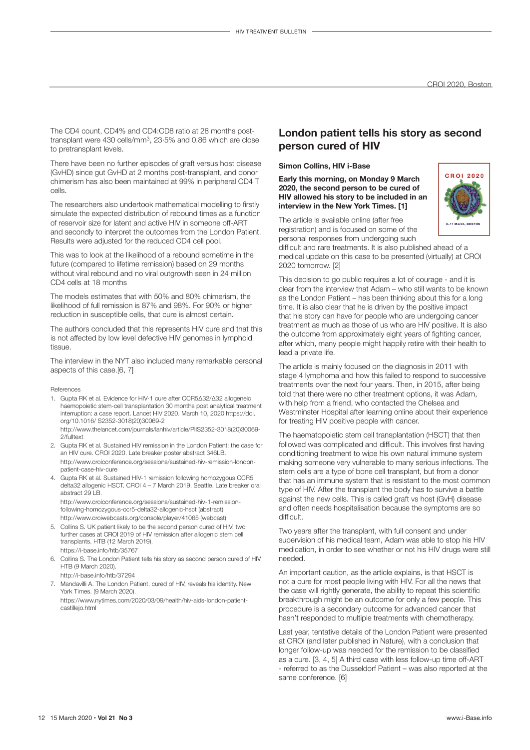The CD4 count, CD4% and CD4:CD8 ratio at 28 months posttransplant were 430 cells/mm3, 23·5% and 0.86 which are close to pretransplant levels.

There have been no further episodes of graft versus host disease (GvHD) since gut GvHD at 2 months post-transplant, and donor chimerism has also been maintained at 99% in peripheral CD4 T cells.

The researchers also undertook mathematical modelling to firstly simulate the expected distribution of rebound times as a function of reservoir size for latent and active HIV in someone off-ART and secondly to interpret the outcomes from the London Patient. Results were adjusted for the reduced CD4 cell pool.

This was to look at the likelihood of a rebound sometime in the future (compared to lifetime remission) based on 29 months without viral rebound and no viral outgrowth seen in 24 million CD4 cells at 18 months

The models estimates that with 50% and 80% chimerism, the likelihood of full remission is 87% and 98%. For 90% or higher reduction in susceptible cells, that cure is almost certain.

The authors concluded that this represents HIV cure and that this is not affected by low level defective HIV genomes in lymphoid tissue.

The interview in the NYT also included many remarkable personal aspects of this case.[6, 7]

#### References

1. Gupta RK et al. Evidence for HIV-1 cure after CCR5Δ32/Δ32 allogeneic haemopoietic stem-cell transplantation 30 months post analytical treatment interruption: a case report. Lancet HIV 2020. March 10, 2020 https://doi. org/10.1016/ S2352-3018(20)30069-2 http://www.thelancet.com/journals/lanhiv/article/PIIS2352-3018(20)30069-

2/fulltext

- 2. Gupta RK et al. Sustained HIV remission in the London Patient: the case for an HIV cure. CROI 2020. Late breaker poster abstract 346LB. http://www.croiconference.org/sessions/sustained-hiv-remission-londonpatient-case-hiv-cure
- 4. Gupta RK et al. Sustained HIV-1 remission following homozygous CCR5 delta32 allogenic HSCT. CROI 4 – 7 March 2019, Seattle. Late breaker oral abstract 29 LB.

http://www.croiconference.org/sessions/sustained-hiv-1-remissionfollowing-homozygous-ccr5-delta32-allogenic-hsct (abstract) http://www.croiwebcasts.org/console/player/41065 (webcast)

- 5. Collins S. UK patient likely to be the second person cured of HIV: two further cases at CROI 2019 of HIV remission after allogenic stem cell transplants. HTB (12 March 2019). https://i-base.info/htb/35767
- 6. Collins S. The London Patient tells his story as second person cured of HIV. HTB (9 March 2020).

http://i-base.info/htb/37294

7. Mandavilli A. The London Patient, cured of HIV, reveals his identity. New York Times. (9 March 2020).

https://www.nytimes.com/2020/03/09/health/hiv-aids-london-patientcastillejo.html

## **London patient tells his story as second person cured of HIV**

#### **Simon Collins, HIV i-Base**

**Early this morning, on Monday 9 March 2020, the second person to be cured of HIV allowed his story to be included in an interview in the New York Times. [1]**



The article is available online (after free registration) and is focused on some of the personal responses from undergoing such

difficult and rare treatments. It is also published ahead of a medical update on this case to be presented (virtually) at CROI 2020 tomorrow. [2]

This decision to go public requires a lot of courage - and it is clear from the interview that Adam – who still wants to be known as the London Patient – has been thinking about this for a long time. It is also clear that he is driven by the positive impact that his story can have for people who are undergoing cancer treatment as much as those of us who are HIV positive. It is also the outcome from approximately eight years of fighting cancer, after which, many people might happily retire with their health to lead a private life.

The article is mainly focused on the diagnosis in 2011 with stage 4 lymphoma and how this failed to respond to successive treatments over the next four years. Then, in 2015, after being told that there were no other treatment options, it was Adam, with help from a friend, who contacted the Chelsea and Westminster Hospital after learning online about their experience for treating HIV positive people with cancer.

The haematopoietic stem cell transplantation (HSCT) that then followed was complicated and difficult. This involves first having conditioning treatment to wipe his own natural immune system making someone very vulnerable to many serious infections. The stem cells are a type of bone cell transplant, but from a donor that has an immune system that is resistant to the most common type of HIV. After the transplant the body has to survive a battle against the new cells. This is called graft vs host (GvH) disease and often needs hospitalisation because the symptoms are so difficult.

Two years after the transplant, with full consent and under supervision of his medical team, Adam was able to stop his HIV medication, in order to see whether or not his HIV drugs were still needed.

An important caution, as the article explains, is that HSCT is not a cure for most people living with HIV. For all the news that the case will rightly generate, the ability to repeat this scientific breakthrough might be an outcome for only a few people. This procedure is a secondary outcome for advanced cancer that hasn't responded to multiple treatments with chemotherapy.

Last year, tentative details of the London Patient were presented at CROI (and later published in Nature), with a conclusion that longer follow-up was needed for the remission to be classified as a cure. [3, 4, 5] A third case with less follow-up time off-ART - referred to as the Dusseldorf Patient – was also reported at the same conference. [6]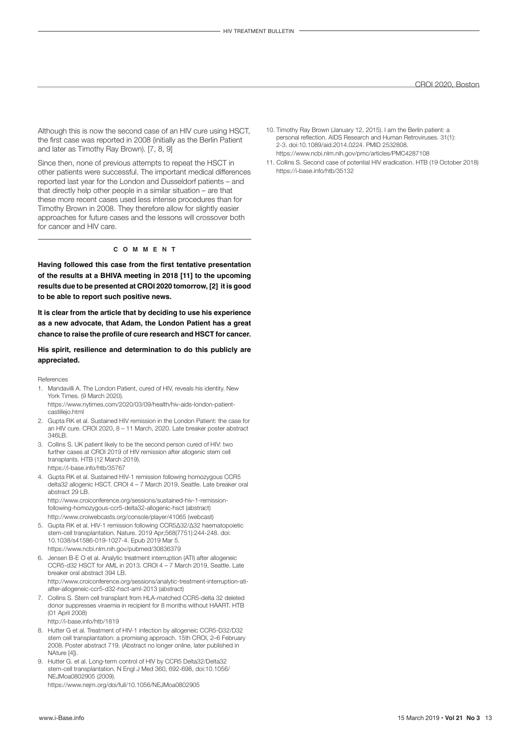Although this is now the second case of an HIV cure using HSCT, the first case was reported in 2008 (initially as the Berlin Patient and later as Timothy Ray Brown). [7, 8, 9]

Since then, none of previous attempts to repeat the HSCT in other patients were successful. The important medical differences reported last year for the London and Dusseldorf patients – and that directly help other people in a similar situation – are that these more recent cases used less intense procedures than for Timothy Brown in 2008. They therefore allow for slightly easier approaches for future cases and the lessons will crossover both for cancer and HIV care.

#### **c o m m e n t**

**Having followed this case from the first tentative presentation of the results at a BHIVA meeting in 2018 [11] to the upcoming results due to be presented at CROI 2020 tomorrow, [2] it is good to be able to report such positive news.**

**It is clear from the article that by deciding to use his experience as a new advocate, that Adam, the London Patient has a great chance to raise the profile of cure research and HSCT for cancer.**

#### **His spirit, resilience and determination to do this publicly are appreciated.**

References

- 1. Mandavilli A. The London Patient, cured of HIV, reveals his identity. New York Times. (9 March 2020).
- https://www.nytimes.com/2020/03/09/health/hiv-aids-london-patientcastillejo.html
- 2. Gupta RK et al. Sustained HIV remission in the London Patient: the case for an HIV cure. CROI 2020, 8 – 11 March, 2020. Late breaker poster abstract 346LB.
- 3. Collins S. UK patient likely to be the second person cured of HIV: two further cases at CROI 2019 of HIV remission after allogenic stem cell transplants. HTB (12 March 2019). https://i-base.info/htb/35767
- 4. Gupta RK et al. Sustained HIV-1 remission following homozygous CCR5 delta32 allogenic HSCT. CROI 4 – 7 March 2019, Seattle. Late breaker oral abstract 29 LB.

http://www.croiconference.org/sessions/sustained-hiv-1-remissionfollowing-homozygous-ccr5-delta32-allogenic-hsct (abstract) http://www.croiwebcasts.org/console/player/41065 (webcast)

- 5. Gupta RK et al. HIV-1 remission following CCR5Δ32/Δ32 haematopoietic stem-cell transplantation. Nature. 2019 Apr;568(7751):244-248. doi: 10.1038/s41586-019-1027-4. Epub 2019 Mar 5. https://www.ncbi.nlm.nih.gov/pubmed/30836379
- 6. Jensen B-E O et al. Analytic treatment interruption (ATI) after allogeneic CCR5-d32 HSCT for AML in 2013. CROI 4 – 7 March 2019, Seattle. Late breaker oral abstract 394 LB. [http://www.croiconference.org/sessions/analytic-treatment-interruption-ati](http://www.croiconference.org/sessions/analytic-treatment-interruption-ati-after-allogeneic-ccr5-d32-hsct-aml-2013)[after-allogeneic-ccr5-d32-hsct-aml-2013](http://www.croiconference.org/sessions/analytic-treatment-interruption-ati-after-allogeneic-ccr5-d32-hsct-aml-2013) (abstract)
- 7. Collins S. Stem cell transplant from HLA-matched CCR5-delta 32 deleted donor suppresses viraemia in recipient for 8 months without HAART. HTB (01 April 2008)

http://i-base.info/htb/1819

- 8. Hutter G et al. Treatment of HIV-1 infection by allogeneic CCR5-D32/D32 stem cell transplantation: a promising approach. 15th CROI, 2–6 February 2008. Poster abstract 719. (Abstract no longer online, later published in NAture [4]).
- 9. Hutter G. et al. Long-term control of HIV by CCR5 Delta32/Delta32 stem-cell transplantation. N Engl J Med 360, 692-698, doi:10.1056/ NEJMoa0802905 (2009).

<https://www.nejm.org/doi/full/10.1056/NEJMoa0802905>

- 10. Timothy Ray Brown (January 12, 2015). I am the Berlin patient: a personal reflection. AIDS Research and Human Retroviruses. 31(1): 2-3. [doi:](https://en.wikipedia.org/wiki/Digital_object_identifier)10.1089/aid.2014.0224. PMID 2532808. https://www.ncbi.nlm.nih.gov/pmc/articles/PMC4287108
- 11. Collins S. Second case of potential HIV eradication. HTB (19 October 2018) https://i-base.info/htb/35132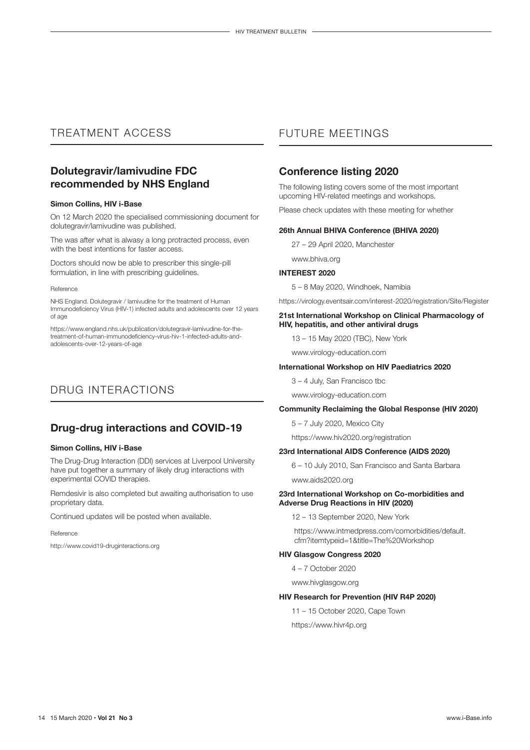## TREATMENT ACCESS

## **Dolutegravir/lamivudine FDC recommended by NHS England**

#### **Simon Collins, HIV i-Base**

On 12 March 2020 the [specialised commissioning](https://www.england.nhs.uk/publication/?filter-category=specialised-commissioning) document for dolutegravir/lamivudine was published.

The was after what is alwasy a long protracted process, even with the best intentions for faster access.

Doctors should now be able to prescriber this single-pill formulation, in line with prescribing guidelines.

#### Reference

NHS England. Dolutegravir / lamivudine for the treatment of Human Immunodeficiency Virus (HIV-1) infected adults and adolescents over 12 years of age

https://www.england.nhs.uk/publication/dolutegravir-lamivudine-for-thetreatment-of-human-immunodeficiency-virus-hiv-1-infected-adults-andadolescents-over-12-years-of-age

## DRUG INTERACTIONS

## **Drug-drug interactions and COVID-19**

#### **Simon Collins, HIV i-Base**

The Drug-Drug Interaction (DDI) services at Liverpool University have put together a summary of likely drug interactions with experimental COVID therapies.

Remdesivir is also completed but awaiting authorisation to use proprietary data.

Continued updates will be posted when available.

#### Reference

[http://www.covid19-druginteractions.org](https://30xlq.r.ag.d.sendibm3.com/mk/cl/f/d_NglNAXTfxjQdLd_WuGN97VWPoyif1zFhr3OipMiOPW6ULQkF3xg7LKeKmPpq1w9K4V2VledTq2v_k8wu9pW442dzPnuO66RBOXqubeIcKO3nKw4khhQcJaKxHa2IF61yJcaNmDUn7eNIzkmF1iCdhaCNOXhz72RjGfjIFZLIauGJMoUslWbm-uag)

## FUTURE MEETINGS

## **Conference listing 2020**

The following listing covers some of the most important upcoming HIV-related meetings and workshops.

Please check updates with these meeting for whether

#### **26th Annual BHIVA Conference (BHIVA 2020)**

27 – 29 April 2020, Manchester

www.bhiva.org

#### **INTEREST 2020**

5 – 8 May 2020, Windhoek, Namibia

https://virology.eventsair.com/interest-2020/registration/Site/Register

#### **21st International Workshop on Clinical Pharmacology of HIV, hepatitis, and other antiviral drugs**

13 – 15 May 2020 (TBC), New York

www.virology-education.com

#### **International Workshop on HIV Paediatrics 2020**

3 – 4 July, San Francisco tbc

www.virology-education.com

#### **Community Reclaiming the Global Response (HIV 2020)**

5 – 7 July 2020, Mexico City

https://www.hiv2020.org/registration

#### **23rd International AIDS Conference (AIDS 2020)**

6 – 10 July 2010, San Francisco and Santa Barbara www.aids2020.org

#### **23rd International Workshop on Co-morbidities and Adverse Drug Reactions in HIV (2020)**

12 – 13 September 2020, New York

https://www.intmedpress.com/comorbidities/default. cfm?itemtypeid=1&title=The%20Workshop

#### **HIV Glasgow Congress 2020**

4 – 7 October 2020

www.hivglasgow.org

#### **HIV Research for Prevention (HIV R4P 2020)**

11 – 15 October 2020, Cape Town

https://www.hivr4p.org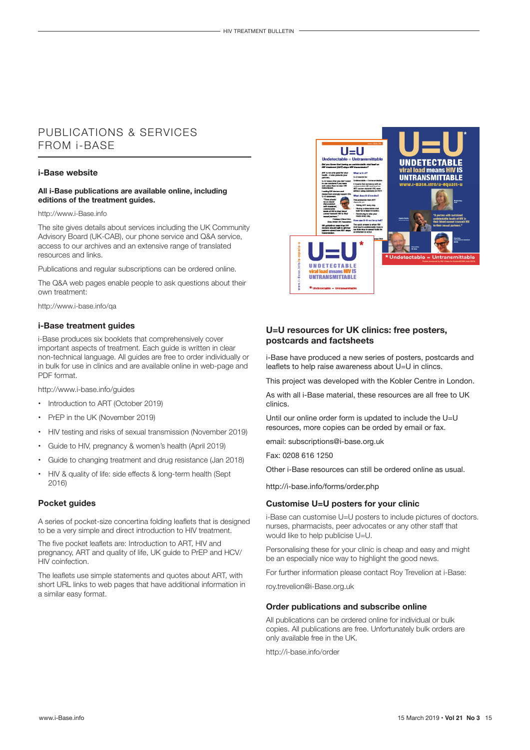## PUBLICATIONS & SERVICES FROM i-BASE

#### **i-Base website**

#### **All i-Base publications are available online, including editions of the treatment guides.**

#### http://www.i-Base.info

The site gives details about services including the UK Community Advisory Board (UK-CAB), our phone service and Q&A service, access to our archives and an extensive range of translated resources and links.

Publications and regular subscriptions can be ordered online.

The Q&A web pages enable people to ask questions about their own treatment:

http://www.i-base.info/qa

#### **i-Base treatment guides**

i-Base produces six booklets that comprehensively cover important aspects of treatment. Each guide is written in clear non-technical language. All guides are free to order individually or in bulk for use in clinics and are available online in web-page and PDF format.

http://www.i-base.info/guides

- Introduction to ART (October 2019)
- PrEP in the UK (November 2019)
- HIV testing and risks of sexual transmission (November 2019)
- Guide to HIV, pregnancy & women's health (April 2019)
- Guide to changing treatment and drug resistance (Jan 2018)
- HIV & quality of life: side effects & long-term health (Sept 2016)

#### **Pocket guides**

A series of pocket-size concertina folding leaflets that is designed to be a very simple and direct introduction to HIV treatment.

The five pocket leaflets are: Introduction to ART, HIV and pregnancy, ART and quality of life, UK guide to PrEP and HCV/ HIV coinfection.

The leaflets use simple statements and quotes about ART, with short URL links to web pages that have additional information in a similar easy format.



#### **U=U resources for UK clinics: free posters, postcards and factsheets**

i-Base have produced a new series of posters, postcards and leaflets to help raise awareness about U=U in clincs.

This project was developed with the Kobler Centre in London.

As with all i-Base material, these resources are all free to UK clinics.

Until our online order form is updated to include the U=U resources, more copies can be orded by email or fax.

email: subscriptions@i-base.org.uk

Fax: 0208 616 1250

Other i-Base resources can still be ordered online as usual.

http://i-base.info/forms/order.php

#### **Customise U=U posters for your clinic**

i-Base can customise U=U posters to include pictures of doctors. nurses, pharmacists, peer advocates or any other staff that would like to help publicise U=U.

Personalising these for your clinic is cheap and easy and might be an especially nice way to highlight the good news.

For further information please contact Roy Trevelion at i-Base:

roy.trevelion@i-Base.org.uk

#### **Order publications and subscribe online**

All publications can be ordered online for individual or bulk copies. All publications are free. Unfortunately bulk orders are only available free in the UK.

http://i-base.info/order